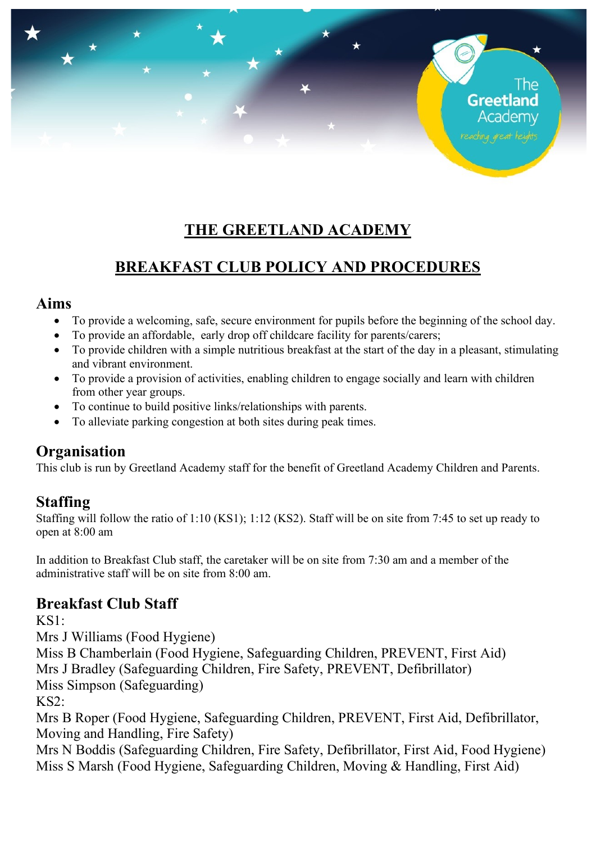# **THE GREETLAND ACADEMY**

The

Greetland Academv

# **BREAKFAST CLUB POLICY AND PROCEDURES**

#### **Aims**

- To provide a welcoming, safe, secure environment for pupils before the beginning of the school day.
- To provide an affordable, early drop off childcare facility for parents/carers;
- To provide children with a simple nutritious breakfast at the start of the day in a pleasant, stimulating and vibrant environment.
- To provide a provision of activities, enabling children to engage socially and learn with children from other year groups.
- To continue to build positive links/relationships with parents.
- To alleviate parking congestion at both sites during peak times.

### **Organisation**

This club is run by Greetland Academy staff for the benefit of Greetland Academy Children and Parents.

### **Staffing**

Staffing will follow the ratio of 1:10 (KS1); 1:12 (KS2). Staff will be on site from 7:45 to set up ready to open at 8:00 am

In addition to Breakfast Club staff, the caretaker will be on site from 7:30 am and a member of the administrative staff will be on site from 8:00 am.

### **Breakfast Club Staff**

 $KS1$ 

Mrs J Williams (Food Hygiene)

Miss B Chamberlain (Food Hygiene, Safeguarding Children, PREVENT, First Aid) Mrs J Bradley (Safeguarding Children, Fire Safety, PREVENT, Defibrillator)

Miss Simpson (Safeguarding)

KS2:

Mrs B Roper (Food Hygiene, Safeguarding Children, PREVENT, First Aid, Defibrillator, Moving and Handling, Fire Safety)

Mrs N Boddis (Safeguarding Children, Fire Safety, Defibrillator, First Aid, Food Hygiene) Miss S Marsh (Food Hygiene, Safeguarding Children, Moving & Handling, First Aid)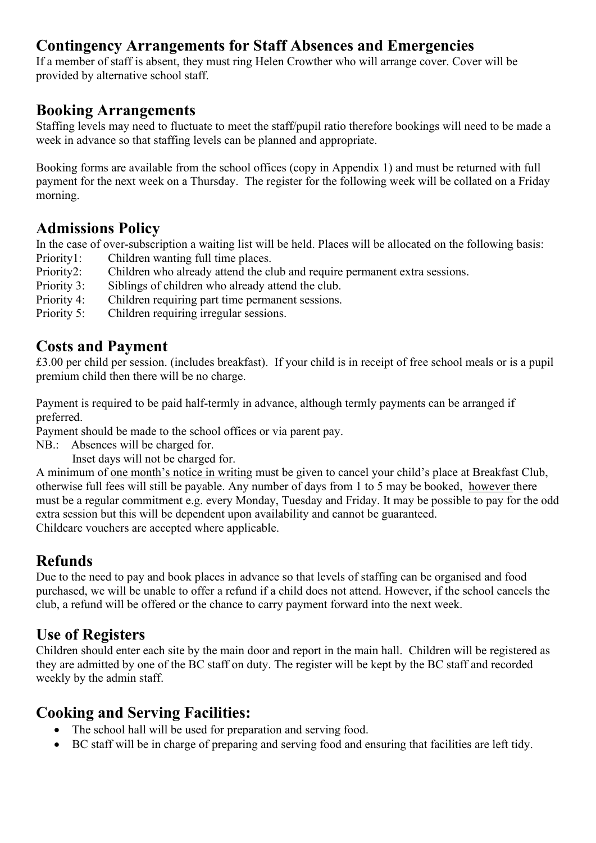### **Contingency Arrangements for Staff Absences and Emergencies**

If a member of staff is absent, they must ring Helen Crowther who will arrange cover. Cover will be provided by alternative school staff.

#### **Booking Arrangements**

Staffing levels may need to fluctuate to meet the staff/pupil ratio therefore bookings will need to be made a week in advance so that staffing levels can be planned and appropriate.

Booking forms are available from the school offices (copy in Appendix 1) and must be returned with full payment for the next week on a Thursday. The register for the following week will be collated on a Friday morning.

#### **Admissions Policy**

In the case of over-subscription a waiting list will be held. Places will be allocated on the following basis: Priority1: Children wanting full time places.

- Priority2: Children who already attend the club and require permanent extra sessions.
- Priority 3: Siblings of children who already attend the club.
- Priority 4: Children requiring part time permanent sessions.
- Priority 5: Children requiring irregular sessions.

### **Costs and Payment**

£3.00 per child per session. (includes breakfast). If your child is in receipt of free school meals or is a pupil premium child then there will be no charge.

Payment is required to be paid half-termly in advance, although termly payments can be arranged if preferred.

Payment should be made to the school offices or via parent pay.

NB.: Absences will be charged for.

Inset days will not be charged for.

A minimum of one month's notice in writing must be given to cancel your child's place at Breakfast Club, otherwise full fees will still be payable. Any number of days from 1 to 5 may be booked, however there must be a regular commitment e.g. every Monday, Tuesday and Friday. It may be possible to pay for the odd extra session but this will be dependent upon availability and cannot be guaranteed. Childcare vouchers are accepted where applicable.

### **Refunds**

Due to the need to pay and book places in advance so that levels of staffing can be organised and food purchased, we will be unable to offer a refund if a child does not attend. However, if the school cancels the club, a refund will be offered or the chance to carry payment forward into the next week.

## **Use of Registers**

Children should enter each site by the main door and report in the main hall. Children will be registered as they are admitted by one of the BC staff on duty. The register will be kept by the BC staff and recorded weekly by the admin staff.

### **Cooking and Serving Facilities:**

- The school hall will be used for preparation and serving food.
- BC staff will be in charge of preparing and serving food and ensuring that facilities are left tidy.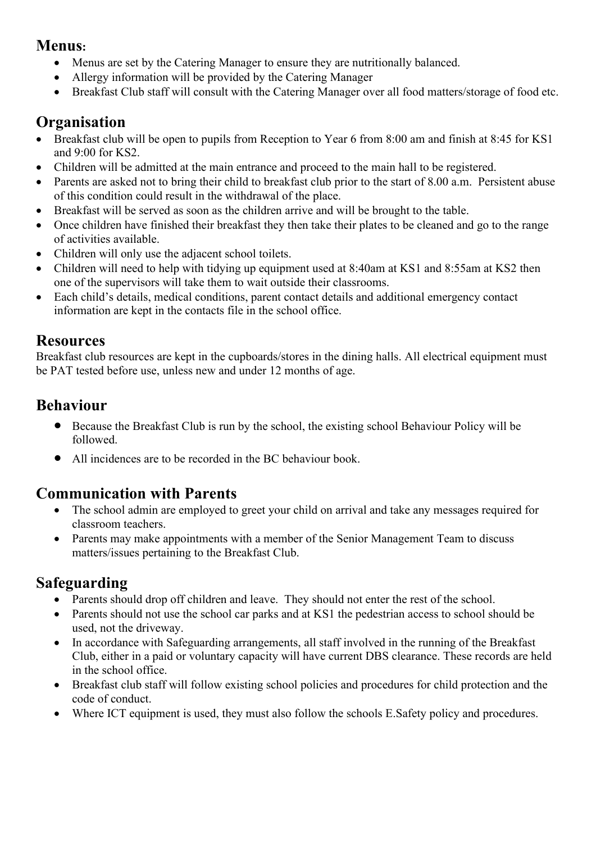#### **Menus:**

- Menus are set by the Catering Manager to ensure they are nutritionally balanced.
- Allergy information will be provided by the Catering Manager
- Breakfast Club staff will consult with the Catering Manager over all food matters/storage of food etc.

### **Organisation**

- Breakfast club will be open to pupils from Reception to Year 6 from 8:00 am and finish at 8:45 for KS1 and 9:00 for KS2.
- Children will be admitted at the main entrance and proceed to the main hall to be registered.
- Parents are asked not to bring their child to breakfast club prior to the start of 8.00 a.m. Persistent abuse of this condition could result in the withdrawal of the place.
- Breakfast will be served as soon as the children arrive and will be brought to the table.
- Once children have finished their breakfast they then take their plates to be cleaned and go to the range of activities available.
- Children will only use the adjacent school toilets.
- Children will need to help with tidying up equipment used at 8:40am at KS1 and 8:55am at KS2 then one of the supervisors will take them to wait outside their classrooms.
- Each child's details, medical conditions, parent contact details and additional emergency contact information are kept in the contacts file in the school office.

#### **Resources**

Breakfast club resources are kept in the cupboards/stores in the dining halls. All electrical equipment must be PAT tested before use, unless new and under 12 months of age.

### **Behaviour**

- Because the Breakfast Club is run by the school, the existing school Behaviour Policy will be followed.
- All incidences are to be recorded in the BC behaviour book.

## **Communication with Parents**

- The school admin are employed to greet your child on arrival and take any messages required for classroom teachers.
- Parents may make appointments with a member of the Senior Management Team to discuss matters/issues pertaining to the Breakfast Club.

## **Safeguarding**

- Parents should drop off children and leave. They should not enter the rest of the school.
- Parents should not use the school car parks and at KS1 the pedestrian access to school should be used, not the driveway.
- In accordance with Safeguarding arrangements, all staff involved in the running of the Breakfast Club, either in a paid or voluntary capacity will have current DBS clearance. These records are held in the school office.
- Breakfast club staff will follow existing school policies and procedures for child protection and the code of conduct.
- Where ICT equipment is used, they must also follow the schools E. Safety policy and procedures.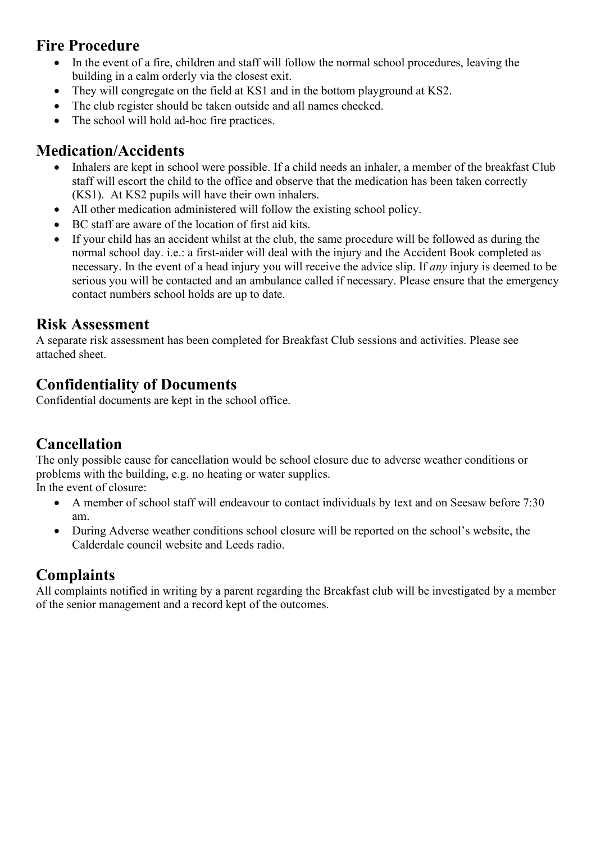### **Fire Procedure**

- In the event of a fire, children and staff will follow the normal school procedures, leaving the building in a calm orderly via the closest exit.
- They will congregate on the field at KS1 and in the bottom playground at KS2.
- The club register should be taken outside and all names checked.
- The school will hold ad-hoc fire practices.

### **Medication/Accidents**

- Inhalers are kept in school were possible. If a child needs an inhaler, a member of the breakfast Club staff will escort the child to the office and observe that the medication has been taken correctly (KS1). At KS2 pupils will have their own inhalers.
- All other medication administered will follow the existing school policy.
- BC staff are aware of the location of first aid kits.
- If your child has an accident whilst at the club, the same procedure will be followed as during the normal school day. i.e.: a first-aider will deal with the injury and the Accident Book completed as necessary. In the event of a head injury you will receive the advice slip. If *any* injury is deemed to be serious you will be contacted and an ambulance called if necessary. Please ensure that the emergency contact numbers school holds are up to date.

#### **Risk Assessment**

A separate risk assessment has been completed for Breakfast Club sessions and activities. Please see attached sheet.

### **Confidentiality of Documents**

Confidential documents are kept in the school office.

## **Cancellation**

The only possible cause for cancellation would be school closure due to adverse weather conditions or problems with the building, e.g. no heating or water supplies. In the event of closure:

- A member of school staff will endeavour to contact individuals by text and on Seesaw before 7:30 am.
- During Adverse weather conditions school closure will be reported on the school's website, the Calderdale council website and Leeds radio.

## **Complaints**

All complaints notified in writing by a parent regarding the Breakfast club will be investigated by a member of the senior management and a record kept of the outcomes.